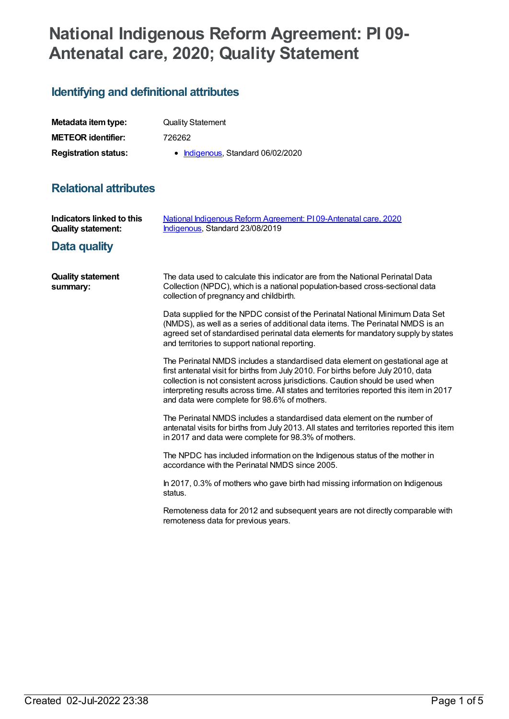# **National Indigenous Reform Agreement: PI 09- Antenatal care, 2020; Quality Statement**

## **Identifying and definitional attributes**

| Metadata item type:         | <b>Quality Statement</b>          |
|-----------------------------|-----------------------------------|
| <b>METEOR identifier:</b>   | 726262                            |
| <b>Registration status:</b> | • Indigenous, Standard 06/02/2020 |

## **Relational attributes**

| Indicators linked to this<br><b>Quality statement:</b> | National Indigenous Reform Agreement: PI09-Antenatal care, 2020<br>Indigenous, Standard 23/08/2019                                                                                                                                                                                                                                                                                               |
|--------------------------------------------------------|--------------------------------------------------------------------------------------------------------------------------------------------------------------------------------------------------------------------------------------------------------------------------------------------------------------------------------------------------------------------------------------------------|
| Data quality                                           |                                                                                                                                                                                                                                                                                                                                                                                                  |
| <b>Quality statement</b><br>summary:                   | The data used to calculate this indicator are from the National Perinatal Data<br>Collection (NPDC), which is a national population-based cross-sectional data<br>collection of pregnancy and childbirth.                                                                                                                                                                                        |
|                                                        | Data supplied for the NPDC consist of the Perinatal National Minimum Data Set<br>(NMDS), as well as a series of additional data items. The Perinatal NMDS is an<br>agreed set of standardised perinatal data elements for mandatory supply by states<br>and territories to support national reporting.                                                                                           |
|                                                        | The Perinatal NMDS includes a standardised data element on gestational age at<br>first antenatal visit for births from July 2010. For births before July 2010, data<br>collection is not consistent across jurisdictions. Caution should be used when<br>interpreting results across time. All states and territories reported this item in 2017<br>and data were complete for 98.6% of mothers. |
|                                                        | The Perinatal NMDS includes a standardised data element on the number of<br>antenatal visits for births from July 2013. All states and territories reported this item<br>in 2017 and data were complete for 98.3% of mothers.                                                                                                                                                                    |
|                                                        | The NPDC has included information on the Indigenous status of the mother in<br>accordance with the Perinatal NMDS since 2005.                                                                                                                                                                                                                                                                    |
|                                                        | In 2017, 0.3% of mothers who gave birth had missing information on Indigenous<br>status.                                                                                                                                                                                                                                                                                                         |
|                                                        | Remoteness data for 2012 and subsequent years are not directly comparable with<br>remoteness data for previous years.                                                                                                                                                                                                                                                                            |
|                                                        |                                                                                                                                                                                                                                                                                                                                                                                                  |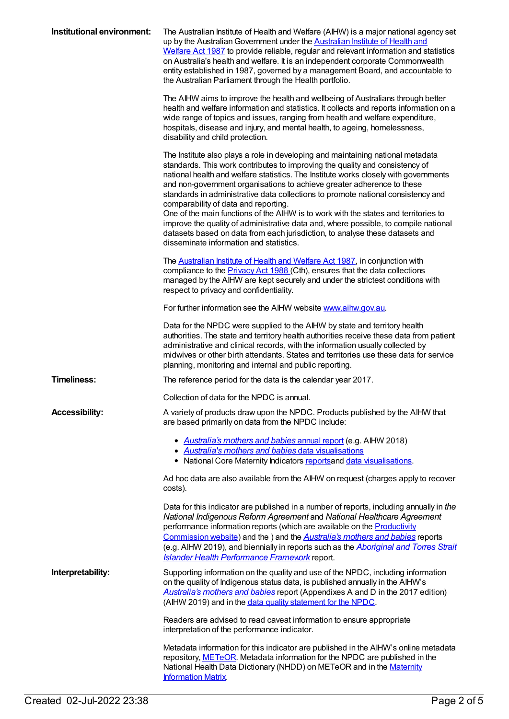| Institutional environment: | The Australian Institute of Health and Welfare (AIHW) is a major national agency set<br>up by the Australian Government under the Australian Institute of Health and<br>Welfare Act 1987 to provide reliable, regular and relevant information and statistics<br>on Australia's health and welfare. It is an independent corporate Commonwealth<br>entity established in 1987, governed by a management Board, and accountable to<br>the Australian Parliament through the Health portfolio.<br>The AIHW aims to improve the health and wellbeing of Australians through better<br>health and welfare information and statistics. It collects and reports information on a                                                                                             |
|----------------------------|------------------------------------------------------------------------------------------------------------------------------------------------------------------------------------------------------------------------------------------------------------------------------------------------------------------------------------------------------------------------------------------------------------------------------------------------------------------------------------------------------------------------------------------------------------------------------------------------------------------------------------------------------------------------------------------------------------------------------------------------------------------------|
|                            | wide range of topics and issues, ranging from health and welfare expenditure,<br>hospitals, disease and injury, and mental health, to ageing, homelessness,<br>disability and child protection.                                                                                                                                                                                                                                                                                                                                                                                                                                                                                                                                                                        |
|                            | The Institute also plays a role in developing and maintaining national metadata<br>standards. This work contributes to improving the quality and consistency of<br>national health and welfare statistics. The Institute works closely with governments<br>and non-government organisations to achieve greater adherence to these<br>standards in administrative data collections to promote national consistency and<br>comparability of data and reporting.<br>One of the main functions of the AIHW is to work with the states and territories to<br>improve the quality of administrative data and, where possible, to compile national<br>datasets based on data from each jurisdiction, to analyse these datasets and<br>disseminate information and statistics. |
|                            | The <b>Australian Institute of Health and Welfare Act 1987</b> , in conjunction with<br>compliance to the <b>Privacy Act 1988</b> (Cth), ensures that the data collections<br>managed by the AIHW are kept securely and under the strictest conditions with<br>respect to privacy and confidentiality.                                                                                                                                                                                                                                                                                                                                                                                                                                                                 |
|                            | For further information see the AIHW website www.aihw.gov.au.                                                                                                                                                                                                                                                                                                                                                                                                                                                                                                                                                                                                                                                                                                          |
|                            | Data for the NPDC were supplied to the AIHW by state and territory health<br>authorities. The state and territory health authorities receive these data from patient<br>administrative and clinical records, with the information usually collected by<br>midwives or other birth attendants. States and territories use these data for service<br>planning, monitoring and internal and public reporting.                                                                                                                                                                                                                                                                                                                                                             |
| <b>Timeliness:</b>         | The reference period for the data is the calendar year 2017.                                                                                                                                                                                                                                                                                                                                                                                                                                                                                                                                                                                                                                                                                                           |
|                            | Collection of data for the NPDC is annual.                                                                                                                                                                                                                                                                                                                                                                                                                                                                                                                                                                                                                                                                                                                             |
| <b>Accessibility:</b>      | A variety of products draw upon the NPDC. Products published by the AIHW that<br>are based primarily on data from the NPDC include:                                                                                                                                                                                                                                                                                                                                                                                                                                                                                                                                                                                                                                    |
|                            | • Australia's mothers and babies annual report (e.g. AIHW 2018)<br>• Australia's mothers and babies data visualisations<br>• National Core Maternity Indicators reports and data visualisations.                                                                                                                                                                                                                                                                                                                                                                                                                                                                                                                                                                       |
|                            | Ad hoc data are also available from the AIHW on request (charges apply to recover<br>costs).                                                                                                                                                                                                                                                                                                                                                                                                                                                                                                                                                                                                                                                                           |
|                            | Data for this indicator are published in a number of reports, including annually in the<br>National Indigenous Reform Agreement and National Healthcare Agreement<br>performance information reports (which are available on the Productivity<br>Commission website) and the ) and the <b>Australia's mothers and babies</b> reports<br>(e.g. AIHW 2019), and biennially in reports such as the <b>Aboriginal and Torres Strait</b><br><b>Islander Health Performance Framework report.</b>                                                                                                                                                                                                                                                                            |
| Interpretability:          | Supporting information on the quality and use of the NPDC, including information<br>on the quality of Indigenous status data, is published annually in the AIHW's<br>Australia's mothers and babies report (Appendixes A and D in the 2017 edition)<br>(AIHW 2019) and in the data quality statement for the NPDC.                                                                                                                                                                                                                                                                                                                                                                                                                                                     |
|                            | Readers are advised to read caveat information to ensure appropriate<br>interpretation of the performance indicator.                                                                                                                                                                                                                                                                                                                                                                                                                                                                                                                                                                                                                                                   |
|                            | Metadata information for this indicator are published in the AIHW's online metadata<br>repository, METeOR. Metadata information for the NPDC are published in the<br>National Health Data Dictionary (NHDD) on METeOR and in the Maternity<br><b>Information Matrix</b>                                                                                                                                                                                                                                                                                                                                                                                                                                                                                                |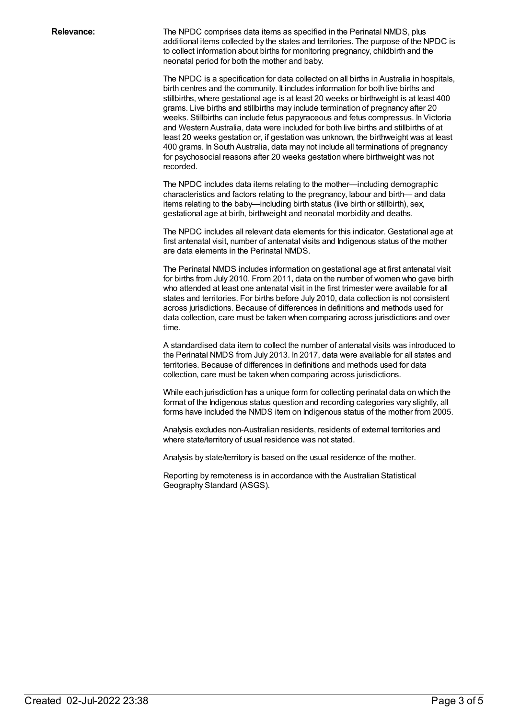**Relevance:** The NPDC comprises data items as specified in the Perinatal NMDS, plus additional items collected by the states and territories. The purpose of the NPDC is to collect information about births for monitoring pregnancy, childbirth and the neonatal period for both the mother and baby.

> The NPDC is a specification for data collected on all births in Australia in hospitals, birth centres and the community. It includes information for both live births and stillbirths, where gestational age is at least 20 weeks or birthweight is at least 400 grams. Live births and stillbirths may include termination of pregnancy after 20 weeks. Stillbirths can include fetus papyraceous and fetus compressus. In Victoria and Western Australia, data were included for both live births and stillbirths of at least 20 weeks gestation or, if gestation was unknown, the birthweight was at least 400 grams. In South Australia, data may not include all terminations of pregnancy for psychosocial reasons after 20 weeks gestation where birthweight was not recorded.

The NPDC includes data items relating to the mother—including demographic characteristics and factors relating to the pregnancy, labour and birth— and data items relating to the baby—including birth status (live birth or stillbirth), sex, gestational age at birth, birthweight and neonatal morbidity and deaths.

The NPDC includes all relevant data elements for this indicator. Gestational age at first antenatal visit, number of antenatal visits and Indigenous status of the mother are data elements in the Perinatal NMDS.

The Perinatal NMDS includes information on gestational age at first antenatal visit for births from July 2010. From 2011, data on the number of women who gave birth who attended at least one antenatal visit in the first trimester were available for all states and territories. For births before July 2010, data collection is not consistent across jurisdictions. Because of differences in definitions and methods used for data collection, care must be taken when comparing across jurisdictions and over time.

A standardised data item to collect the number of antenatal visits was introduced to the Perinatal NMDS from July 2013. In 2017, data were available for all states and territories. Because of differences in definitions and methods used for data collection, care must be taken when comparing across jurisdictions.

While each jurisdiction has a unique form for collecting perinatal data on which the format of the Indigenous status question and recording categories vary slightly, all forms have included the NMDS item on Indigenous status of the mother from 2005.

Analysis excludes non-Australian residents, residents of external territories and where state/territory of usual residence was not stated.

Analysis by state/territory is based on the usual residence of the mother.

Reporting by remoteness is in accordance with the Australian Statistical Geography Standard (ASGS).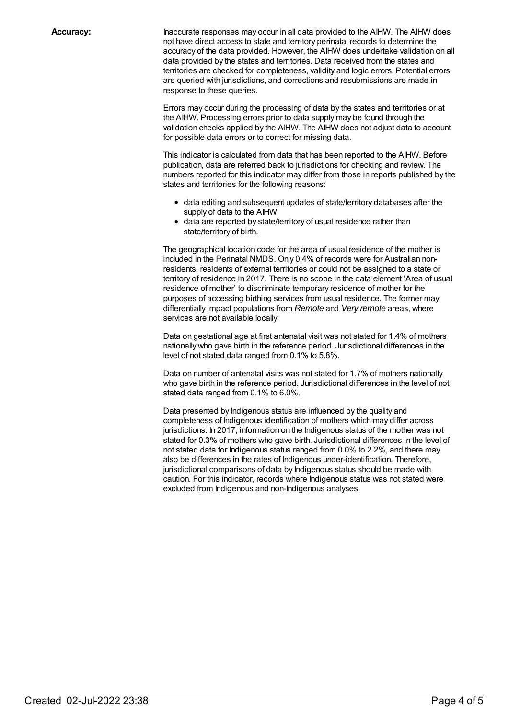**Accuracy:** Inaccurate responses may occur in all data provided to the AIHW. The AIHW does not have direct access to state and territory perinatal records to determine the accuracy of the data provided. However, the AIHW does undertake validation on all data provided by the states and territories. Data received from the states and territories are checked for completeness, validity and logic errors. Potential errors are queried with jurisdictions, and corrections and resubmissions are made in response to these queries.

> Errors may occur during the processing of data by the states and territories or at the AIHW. Processing errors prior to data supply may be found through the validation checks applied by the AIHW. The AIHW does not adjust data to account for possible data errors or to correct for missing data.

This indicator is calculated from data that has been reported to the AIHW. Before publication, data are referred back to jurisdictions for checking and review. The numbers reported for this indicator may differ from those in reports published by the states and territories for the following reasons:

- data editing and subsequent updates of state/territory databases after the supply of data to the AIHW
- data are reported by state/territory of usual residence rather than state/territory of birth.

The geographical location code for the area of usual residence of the mother is included in the Perinatal NMDS. Only 0.4% of records were for Australian nonresidents, residents of external territories or could not be assigned to a state or territory of residence in 2017. There is no scope in the data element 'Area of usual residence of mother' to discriminate temporary residence of mother for the purposes of accessing birthing services from usual residence. The former may differentially impact populations from *Remote* and *Very remote* areas, where services are not available locally.

Data on gestational age at first antenatal visit was not stated for 1.4% of mothers nationally who gave birth in the reference period. Jurisdictional differences in the level of not stated data ranged from 0.1% to 5.8%.

Data on number of antenatal visits was not stated for 1.7% of mothers nationally who gave birth in the reference period. Jurisdictional differences in the level of not stated data ranged from 0.1% to 6.0%.

Data presented by Indigenous status are influenced by the quality and completeness of Indigenous identification of mothers which may differ across jurisdictions. In 2017, information on the Indigenous status of the mother was not stated for 0.3% of mothers who gave birth. Jurisdictional differences in the level of not stated data for Indigenous status ranged from 0.0% to 2.2%, and there may also be differences in the rates of Indigenous under-identification. Therefore, jurisdictional comparisons of data by Indigenous status should be made with caution. For this indicator, records where Indigenous status was not stated were excluded from Indigenous and non-Indigenous analyses.